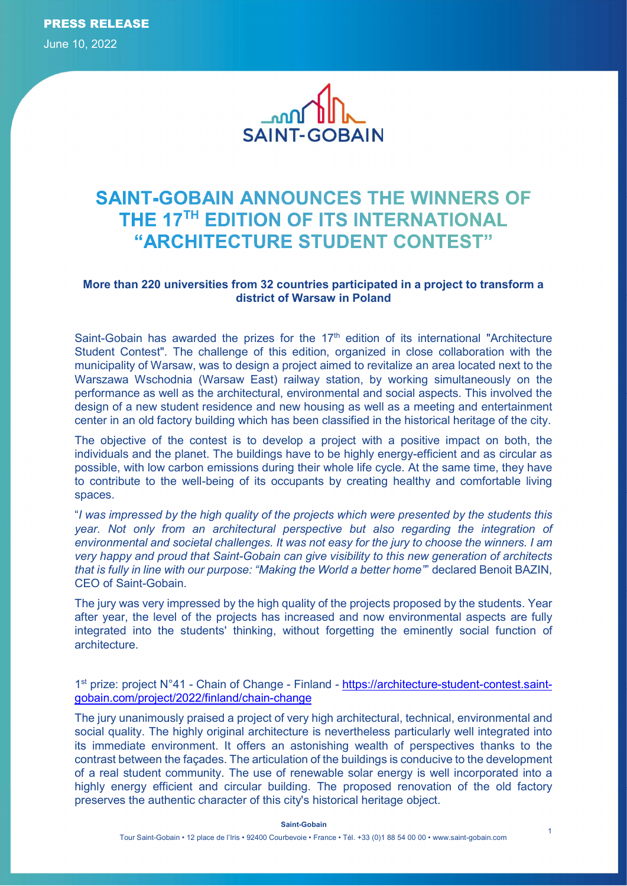

## **SAINT-GOBAIN ANNOUNCES THE WINNERS OF** THE 17TH EDITION OF ITS INTERNATIONAL "ARCHITECTURE STUDENT CONTEST"

## More than 220 universities from 32 countries participated in a project to transform a district of Warsaw in Poland

Saint-Gobain has awarded the prizes for the  $17<sup>th</sup>$  edition of its international "Architecture Student Contest". The challenge of this edition, organized in close collaboration with the municipality of Warsaw, was to design a project aimed to revitalize an area located next to the Warszawa Wschodnia (Warsaw East) railway station, by working simultaneously on the performance as well as the architectural, environmental and social aspects. This involved the design of a new student residence and new housing as well as a meeting and entertainment center in an old factory building which has been classified in the historical heritage of the city.

The objective of the contest is to develop a project with a positive impact on both, the individuals and the planet. The buildings have to be highly energy-efficient and as circular as possible, with low carbon emissions during their whole life cycle. At the same time, they have to contribute to the well-being of its occupants by creating healthy and comfortable living spaces.

"I was impressed by the high quality of the projects which were presented by the students this year. Not only from an architectural perspective but also regarding the integration of environmental and societal challenges. It was not easy for the jury to choose the winners. I am very happy and proud that Saint-Gobain can give visibility to this new generation of architects that is fully in line with our purpose: "Making the World a better home"" declared Benoit BAZIN, CEO of Saint-Gobain.

The jury was very impressed by the high quality of the projects proposed by the students. Year after year, the level of the projects has increased and now environmental aspects are fully integrated into the students' thinking, without forgetting the eminently social function of architecture.

1<sup>st</sup> prize: project N°41 - Chain of Change - Finland - https://architecture-student-contest.saintgobain.com/project/2022/finland/chain-change

The jury unanimously praised a project of very high architectural, technical, environmental and social quality. The highly original architecture is nevertheless particularly well integrated into its immediate environment. It offers an astonishing wealth of perspectives thanks to the contrast between the façades. The articulation of the buildings is conducive to the development of a real student community. The use of renewable solar energy is well incorporated into a highly energy efficient and circular building. The proposed renovation of the old factory preserves the authentic character of this city's historical heritage object.

Saint-Gobain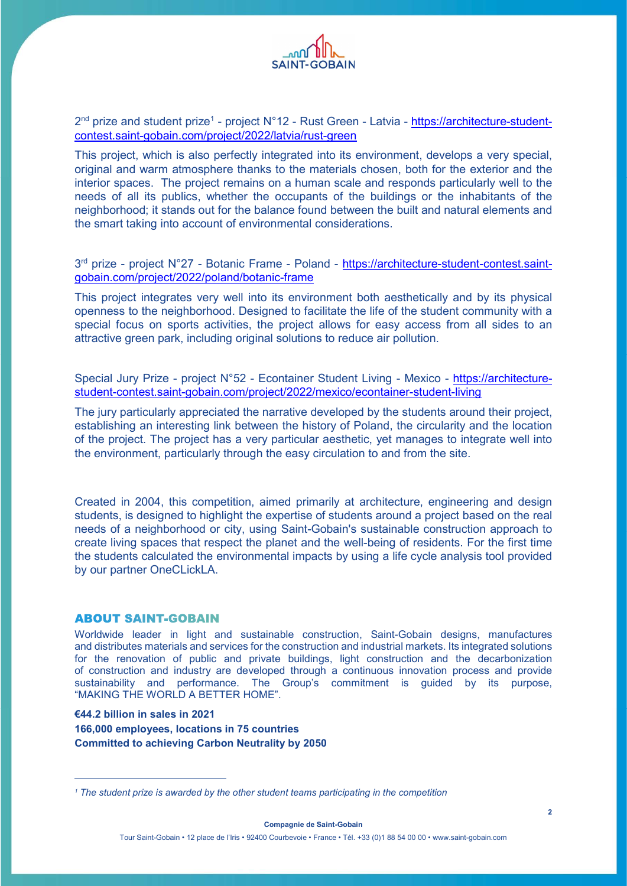

2<sup>nd</sup> prize and student prize<sup>1</sup> - project N°12 - Rust Green - Latvia - https://architecture-studentcontest.saint-gobain.com/project/2022/latvia/rust-green

This project, which is also perfectly integrated into its environment, develops a very special, original and warm atmosphere thanks to the materials chosen, both for the exterior and the interior spaces. The project remains on a human scale and responds particularly well to the needs of all its publics, whether the occupants of the buildings or the inhabitants of the neighborhood; it stands out for the balance found between the built and natural elements and the smart taking into account of environmental considerations.

3<sup>rd</sup> prize - project N°27 - Botanic Frame - Poland - https://architecture-student-contest.saintgobain.com/project/2022/poland/botanic-frame

This project integrates very well into its environment both aesthetically and by its physical openness to the neighborhood. Designed to facilitate the life of the student community with a special focus on sports activities, the project allows for easy access from all sides to an attractive green park, including original solutions to reduce air pollution.

Special Jury Prize - project N°52 - Econtainer Student Living - Mexico - https://architecturestudent-contest.saint-gobain.com/project/2022/mexico/econtainer-student-living

The jury particularly appreciated the narrative developed by the students around their project, establishing an interesting link between the history of Poland, the circularity and the location of the project. The project has a very particular aesthetic, yet manages to integrate well into the environment, particularly through the easy circulation to and from the site.

Created in 2004, this competition, aimed primarily at architecture, engineering and design students, is designed to highlight the expertise of students around a project based on the real needs of a neighborhood or city, using Saint-Gobain's sustainable construction approach to create living spaces that respect the planet and the well-being of residents. For the first time the students calculated the environmental impacts by using a life cycle analysis tool provided by our partner OneCLickLA.

## **AROUT SAINT-GORAIN**

 $\overline{a}$ 

Worldwide leader in light and sustainable construction, Saint-Gobain designs, manufactures and distributes materials and services for the construction and industrial markets. Its integrated solutions for the renovation of public and private buildings, light construction and the decarbonization of construction and industry are developed through a continuous innovation process and provide sustainability and performance. The Group's commitment is guided by its purpose, "MAKING THE WORLD A BETTER HOME".

€44.2 billion in sales in 2021 166,000 employees, locations in 75 countries Committed to achieving Carbon Neutrality by 2050

<sup>1</sup> The student prize is awarded by the other student teams participating in the competition